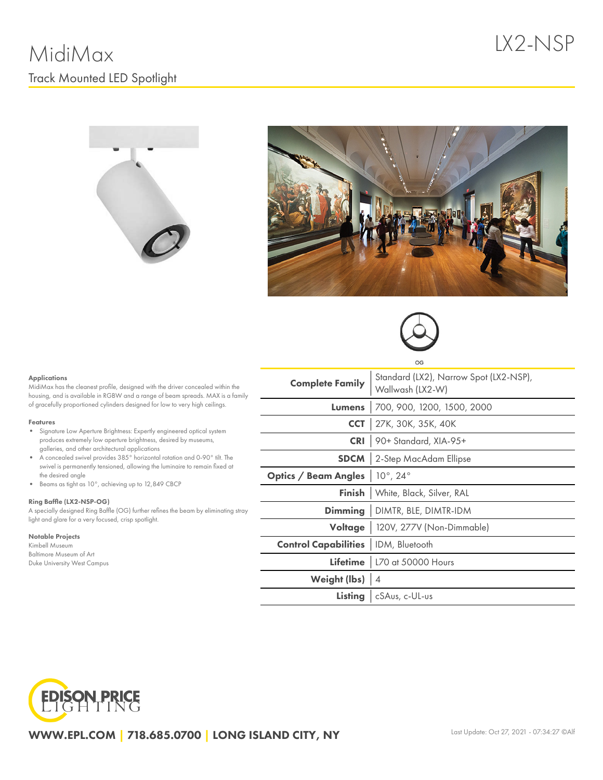





#### Applications

MidiMax has the cleanest profile, designed with the driver concealed within the housing, and is available in RGBW and a range of beam spreads. MAX is a family of gracefully proportioned cylinders designed for low to very high ceilings.

#### Features

- Signature Low Aperture Brightness: Expertly engineered optical system produces extremely low aperture brightness, desired by museums, galleries, and other architectural applications
- $\bullet$ A concealed swivel provides 385° horizontal rotation and 0-90° tilt. The swivel is permanently tensioned, allowing the luminaire to remain fixed at the desired angle
- Beams as tight as 10°, achieving up to 12,849 CBCP

#### Ring Baffle (LX2-NSP-OG)

A specially designed Ring Baffle (OG) further refines the beam by eliminating stray light and glare for a very focused, crisp spotlight.

### Notable Projects

Kimbell Museum Baltimore Museum of Art Duke University West Campus

|                                              | OG                                                         |  |  |  |  |
|----------------------------------------------|------------------------------------------------------------|--|--|--|--|
| <b>Complete Family</b>                       | Standard (LX2), Narrow Spot (LX2-NSP),<br>Wallwash (LX2-W) |  |  |  |  |
| Lumens                                       | 700, 900, 1200, 1500, 2000                                 |  |  |  |  |
|                                              | CCT   27K, 30K, 35K, 40K                                   |  |  |  |  |
| <b>CRI</b>                                   | 90+ Standard, XIA-95+                                      |  |  |  |  |
| <b>SDCM</b>                                  | 2-Step MacAdam Ellipse                                     |  |  |  |  |
| Optics / Beam Angles                         | $10^{\circ}$ , 24 $^{\circ}$                               |  |  |  |  |
| Finish l                                     | White, Black, Silver, RAL                                  |  |  |  |  |
|                                              | <b>Dimming</b>   DIMTR, BLE, DIMTR-IDM                     |  |  |  |  |
|                                              | Voltage   120V, 277V (Non-Dimmable)                        |  |  |  |  |
| <b>Control Capabilities</b>   IDM, Bluetooth |                                                            |  |  |  |  |
|                                              | Lifetime   L70 at 50000 Hours                              |  |  |  |  |
| Weight (lbs) $ 4$                            |                                                            |  |  |  |  |
| Listing                                      | cSAus, c-UL-us                                             |  |  |  |  |
|                                              |                                                            |  |  |  |  |



WWW.EPL.COM | 718.685.0700 | LONG ISLAND CITY, NY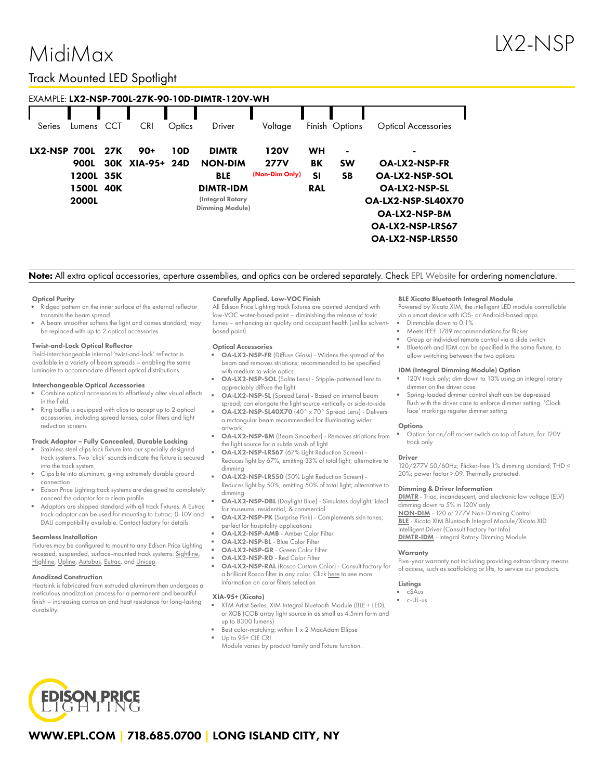# MidiMax

## Track Mounted LED Spotlight

| EXAMPLE: LX2-NSP-700L-27K-90-10D-DIMTR-120V-WH |              |     |                 |        |                        |                |            |                |                            |  |
|------------------------------------------------|--------------|-----|-----------------|--------|------------------------|----------------|------------|----------------|----------------------------|--|
| Series                                         | Lumens       | CCT | <b>CRI</b>      | Optics | Driver                 | Voltage        |            | Finish Options | <b>Optical Accessories</b> |  |
| <b>LX2-NSP 700L</b>                            |              | 27K | $90+$           | 10D    | <b>DIMTR</b>           | 120V           | WH         | $\blacksquare$ | -                          |  |
|                                                | 900L         |     | 30K XIA-95+ 24D |        | <b>NON-DIM</b>         | <b>277V</b>    | ΒK         | <b>SW</b>      | <b>OA-LX2-NSP-FR</b>       |  |
|                                                | 1200L 35K    |     |                 |        | <b>BLE</b>             | (Non-Dim Only) | SI         | <b>SB</b>      | <b>OA-LX2-NSP-SOL</b>      |  |
|                                                | 1500L        | 40K |                 |        | <b>DIMTR-IDM</b>       |                | <b>RAL</b> |                | <b>OA-LX2-NSP-SL</b>       |  |
|                                                | <b>2000L</b> |     |                 |        | (Integral Rotary       |                |            |                | OA-LX2-NSP-SL40X70         |  |
|                                                |              |     |                 |        | <b>Dimming Module)</b> |                |            |                | <b>OA-LX2-NSP-BM</b>       |  |
|                                                |              |     |                 |        |                        |                |            |                | OA-LX2-NSP-LRS67           |  |
|                                                |              |     |                 |        |                        |                |            |                | <b>OA-LX2-NSP-LRS50</b>    |  |

Note: All extra optical accessories, aperture assemblies, and optics can be ordered separately. Check EPL [Website](https://www.epl.com/) for ordering nomenclature.

#### Optical Purity

- Ridged pattern on the inner surface of the external reflector transmits the beam spread
- A beam smoother softens the light and comes standard; may be replaced with up to 2 optical accessories

#### Twist-and-Lock Optical Reflector

Field-interchangeable internal 'twist-and-lock' reflector is available in a variety of beam spreads – enabling the same luminaire to accommodate different optical distributions.

#### Interchangeable Optical Accessories

- Combine optical accessories to effortlessly alter visual effects in the field.
- Ring baffle is equipped with clips to accept up to 2 optical accessories, including spread lenses, color filters and light reduction screens

#### Track Adaptor – Fully Concealed, Durable Locking

- Stainless steel clips lock fixture into our specially designed track systems. Two 'click' sounds indicate the fixture is secured into the track system
- Clips bite into aluminum, giving extremely durable ground connection
- Edison Price Lighting track systems are designed to completely conceal the adaptor for a clean profile
- Adaptors are shipped standard with all track fixtures. A Eutrac track adaptor can be used for mounting to Eutrac; 0-10V and DALI compatibility available. Contact factory for details

#### Seamless Installation

Fixtures may be configured to mount to any Edison Price Lighting recessed, suspended, surface-mounted track systems: [Sightline,](https://epl.com/sightline/) [Highline](https://epl.com/highline/), [Upline](https://epl.com/upline/), [Autobus,](https://epl.com/autobus/) [Eutrac,](https://eutrac.de/product/2surface-track-bus/?lang=en) and [Unicep.](https://epl.com/unicep/)

#### Anodized Construction

Heatsink is fabricated from extruded aluminum then undergoes a meticulous anodization process for a permanent and beautiful finish – increasing corrosion and heat resistance for long-lasting durability.

#### Carefully Applied, Low-VOC Finish

All Edison Price Lighting track fixtures are painted standard with low-VOC water-based paint – diminishing the release of toxic fumes – enhancing air quality and occupant health (unlike solventbased paint).

#### Optical Accessories

- OA-LX2-NSP-FR (Diffuse Glass) Widens the spread of the beam and removes striations; recommended to be specified with medium to wide optics
- OA-LX2-NSP-SOL (Solite Lens) Stipple-patterned lens to appreciably diffuse the light
- OA-LX2-NSP-SL (Spread Lens) Based on internal beam spread, can elongate the light source vertically or side-to-side
- OA-LX2-NSP-SL40X70 (40° x 70° Spread Lens) Delivers a rectangular beam recommended for illuminating wider artwork
- OA-LX2-NSP-BM (Beam Smoother) Removes striations from the light source for a subtle wash of light
- Reduces light by 67%, emitting 33% of total light; alternative to dimming
- Reduces light by 50%, emitting 50% of total light; alternative to dimming
- for museums, residential, & commercial
- 
- OA-LX2-NSP-AMB Amber Color Filter
- OA-LX2-NSP-BL Blue Color Filter
- OA-LX2-NSP-GR Green Color Filter
- OA-LX2-NSP-RD Red Color Filter
- OA-LX2-NSP-RAL (Rosco Custom Color) Consult factory for a brilliant Rosco filter in any color. Click [here](https://us.rosco.com/en/products/catalog/roscolux) to see more information on color filters selection

#### XIA-95+ (Xicato)

- XTM Artist Series, XIM Integral Bluetooth Module (BLE + LED), or XOB (COB array light source in as small as 4.5mm form and up to 8300 lumens)
- Best color-matching: within 1 x 2 MacAdam Ellipse
- Up to 95+ CIE CRI Module varies by product family and fixture function.

#### BLE Xicato Bluetooth Integral Module

Powered by Xicato XIM, the intelligent LED module controllable via a smart device with iOS- or Android-based apps.

- Dimmable down to 0.1%
- Meets IEEE 1789 recommendations for flicker
- Group or individual remote control via a slide switch Bluetooth and IDM can be specified in the same fixture, to
- allow switching between the two options

#### IDM (Integral Dimming Module) Option

- 120V track only; dim down to 10% using an integral rotary dimmer on the driver case
- Spring-loaded dimmer control shaft can be depressed flush with the driver case to enforce dimmer setting. 'Clock face' markings register dimmer setting

#### **Options**

Option for on/off rocker switch on top of fixture, for 120V track only

#### Driver

120/277V 50/60Hz; Flicker-free 1% dimming standard; THD < 20%; power factor >.09. Thermally protected.

#### Dimming & Driver Information

[DIMTR](http://epl.com/media/driver/dimtr.pdf) - Triac, incandescent, and electronic low voltage (ELV) dimming down to 5% in 120V only [NON-DIM](http://epl.com/media/driver/non-dim.pdf) - 120 or 277V Non-Dimming Control [BLE](http://epl.com/media/driver/ble.pdf) - Xicato XIM Bluetooth Integral Module/Xicato XID Intelligent Driver (Consult Factory For Info) [DIMTR-IDM](http://epl.com/media/driver/dimtr-idm.pdf) - Integral Rotary Dimming Module

#### **Warranty**

Five-year warranty not including providing extraordinary means of access, such as scaffolding or lifts, to service our products.

#### Listings

- cSAus
- c-UL-us



## WWW.EPL.COM | 718.685.0700 | LONG ISLAND CITY, NY

- OA-LX2-NSP-LRS67 (67% Light Reduction Screen) -
- OA-LX2-NSP-LRS50 (50% Light Reduction Screen) -
- OA-LX2-NSP-DBL (Daylight Blue) Simulates daylight; ideal
- OA-LX2-NSP-PK (Surprise Pink) Complements skin tones; perfect for hospitality applications
- 
- 
- 
-